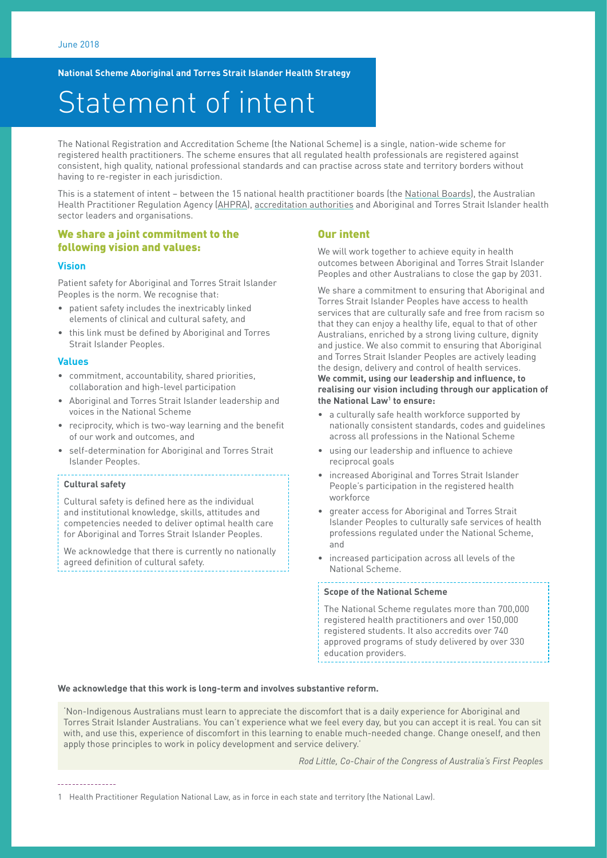**National Scheme Aboriginal and Torres Strait Islander Health Strategy**

# Statement of intent

The National Registration and Accreditation Scheme (the National Scheme) is a single, nation-wide scheme for registered health practitioners. The scheme ensures that all regulated health professionals are registered against consistent, high quality, national professional standards and can practise across state and territory borders without having to re-register in each jurisdiction.

This is a statement of intent - between the 15 national health practitioner boards (the [National Boards\)](http://www.ahpra.gov.au/National-Boards.aspx), the Australian Health Practitioner Regulation Agency ([AHPRA\)](http://www.ahpra.gov.au/About-AHPRA/Who-We-Are.aspx), [accreditation authorities](http://www.ahpra.gov.au/Education/Accreditation-Authorities.aspx) and Aboriginal and Torres Strait Islander health sector leaders and organisations.

### We share a joint commitment to the following vision and values:

#### **Vision**

Patient safety for Aboriginal and Torres Strait Islander Peoples is the norm. We recognise that:

- patient safety includes the inextricably linked elements of clinical and cultural safety, and
- this link must be defined by Aboriginal and Torres Strait Islander Peoples.

#### **Values**

- commitment, accountability, shared priorities, collaboration and high-level participation
- Aboriginal and Torres Strait Islander leadership and voices in the National Scheme
- reciprocity, which is two-way learning and the benefit of our work and outcomes, and
- self-determination for Aboriginal and Torres Strait Islander Peoples.

#### **Cultural safety**

Cultural safety is defined here as the individual and institutional knowledge, skills, attitudes and competencies needed to deliver optimal health care for Aboriginal and Torres Strait Islander Peoples.

We acknowledge that there is currently no nationally agreed definition of cultural safety.

#### Our intent

We will work together to achieve equity in health outcomes between Aboriginal and Torres Strait Islander Peoples and other Australians to close the gap by 2031.

We share a commitment to ensuring that Aboriginal and Torres Strait Islander Peoples have access to health services that are culturally safe and free from racism so that they can enjoy a healthy life, equal to that of other Australians, enriched by a strong living culture, dignity and justice. We also commit to ensuring that Aboriginal and Torres Strait Islander Peoples are actively leading the design, delivery and control of health services. **We commit, using our leadership and influence, to realising our vision including through our application of the National Law1 to ensure:**

- a culturally safe health workforce supported by nationally consistent standards, codes and guidelines across all professions in the National Scheme
- using our leadership and influence to achieve reciprocal goals
- increased Aboriginal and Torres Strait Islander People's participation in the registered health workforce
- greater access for Aboriginal and Torres Strait Islander Peoples to culturally safe services of health professions regulated under the National Scheme, and
- increased participation across all levels of the National Scheme.

#### **Scope of the National Scheme**

The National Scheme regulates more than 700,000 registered health practitioners and over 150,000 registered students. It also accredits over 740 approved programs of study delivered by over 330 education providers.

#### **We acknowledge that this work is long-term and involves substantive reform.**

'Non-Indigenous Australians must learn to appreciate the discomfort that is a daily experience for Aboriginal and Torres Strait Islander Australians. You can't experience what we feel every day, but you can accept it is real. You can sit with, and use this, experience of discomfort in this learning to enable much-needed change. Change oneself, and then apply those principles to work in policy development and service delivery.'

*Rod Little, Co-Chair of the Congress of Australia's First Peoples*

1 Health Practitioner Regulation National Law, as in force in each state and territory (the National Law).